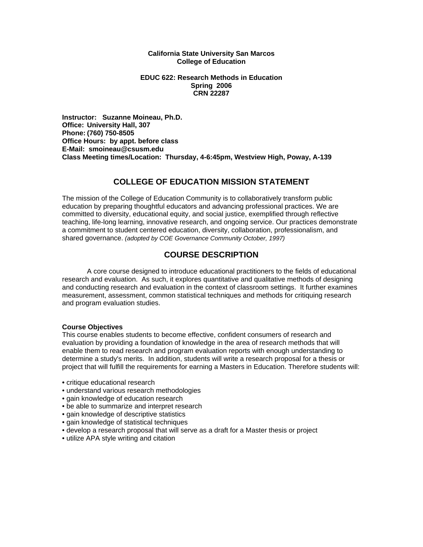#### **California State University San Marcos College of Education**

### **EDUC 622: Research Methods in Education Spring 2006 CRN 22287**

**Instructor: Suzanne Moineau, Ph.D. Office: University Hall, 307 Phone: (760) 750-8505 Office Hours: by appt. before class E-Mail: smoineau@csusm.edu Class Meeting times/Location: Thursday, 4-6:45pm, Westview High, Poway, A-139** 

## **COLLEGE OF EDUCATION MISSION STATEMENT**

The mission of the College of Education Community is to collaboratively transform public education by preparing thoughtful educators and advancing professional practices. We are committed to diversity, educational equity, and social justice, exemplified through reflective teaching, life-long learning, innovative research, and ongoing service. Our practices demonstrate a commitment to student centered education, diversity, collaboration, professionalism, and shared governance. *(adopted by COE Governance Community October, 1997)* 

# **COURSE DESCRIPTION**

 A core course designed to introduce educational practitioners to the fields of educational research and evaluation. As such, it explores quantitative and qualitative methods of designing and conducting research and evaluation in the context of classroom settings. It further examines measurement, assessment, common statistical techniques and methods for critiquing research and program evaluation studies.

### **Course Objectives**

This course enables students to become effective, confident consumers of research and evaluation by providing a foundation of knowledge in the area of research methods that will enable them to read research and program evaluation reports with enough understanding to determine a study's merits. In addition, students will write a research proposal for a thesis or project that will fulfill the requirements for earning a Masters in Education. Therefore students will:

- critique educational research
- understand various research methodologies
- gain knowledge of education research
- be able to summarize and interpret research
- gain knowledge of descriptive statistics
- gain knowledge of statistical techniques
- develop a research proposal that will serve as a draft for a Master thesis or project
- utilize APA style writing and citation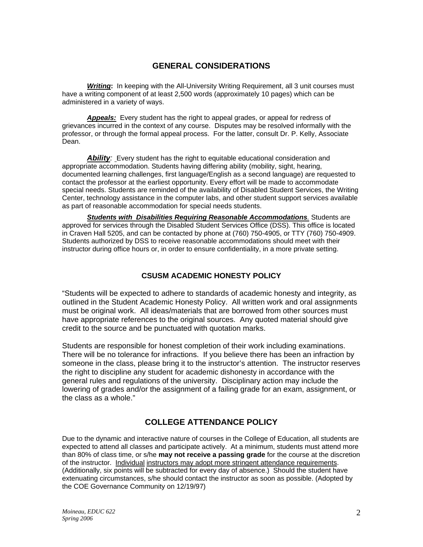## **GENERAL CONSIDERATIONS**

**Writing:** In keeping with the All-University Writing Requirement, all 3 unit courses must have a writing component of at least 2,500 words (approximately 10 pages) which can be administered in a variety of ways.

*Appeals:* Every student has the right to appeal grades, or appeal for redress of grievances incurred in the context of any course. Disputes may be resolved informally with the professor, or through the formal appeal process. For the latter, consult Dr. P. Kelly, Associate Dean.

**Ability**: Every student has the right to equitable educational consideration and appropriate accommodation. Students having differing ability (mobility, sight, hearing, documented learning challenges, first language/English as a second language) are requested to contact the professor at the earliest opportunity. Every effort will be made to accommodate special needs. Students are reminded of the availability of Disabled Student Services, the Writing Center, technology assistance in the computer labs, and other student support services available as part of reasonable accommodation for special needs students.

*Students with Disabilities Requiring Reasonable Accommodations.* Students are approved for services through the Disabled Student Services Office (DSS). This office is located in Craven Hall 5205, and can be contacted by phone at (760) 750-4905, or TTY (760) 750-4909. Students authorized by DSS to receive reasonable accommodations should meet with their instructor during office hours or, in order to ensure confidentiality, in a more private setting.

## **CSUSM ACADEMIC HONESTY POLICY**

"Students will be expected to adhere to standards of academic honesty and integrity, as outlined in the Student Academic Honesty Policy. All written work and oral assignments must be original work. All ideas/materials that are borrowed from other sources must have appropriate references to the original sources. Any quoted material should give credit to the source and be punctuated with quotation marks.

Students are responsible for honest completion of their work including examinations. There will be no tolerance for infractions. If you believe there has been an infraction by someone in the class, please bring it to the instructor's attention. The instructor reserves the right to discipline any student for academic dishonesty in accordance with the general rules and regulations of the university. Disciplinary action may include the lowering of grades and/or the assignment of a failing grade for an exam, assignment, or the class as a whole."

# **COLLEGE ATTENDANCE POLICY**

Due to the dynamic and interactive nature of courses in the College of Education, all students are expected to attend all classes and participate actively. At a minimum, students must attend more than 80% of class time, or s/he **may not receive a passing grade** for the course at the discretion of the instructor. Individual instructors may adopt more stringent attendance requirements. (Additionally, six points will be subtracted for every day of absence.) Should the student have extenuating circumstances, s/he should contact the instructor as soon as possible. (Adopted by the COE Governance Community on 12/19/97)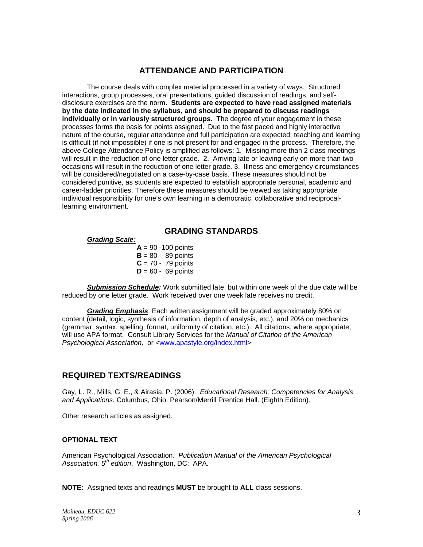### **ATTENDANCE AND PARTICIPATION**

The course deals with complex material processed in a variety of ways. Structured interactions, group processes, oral presentations, guided discussion of readings, and selfdisclosure exercises are the norm. **Students are expected to have read assigned materials by the date indicated in the syllabus, and should be prepared to discuss readings individually or in variously structured groups.** The degree of your engagement in these processes forms the basis for points assigned. Due to the fast paced and highly interactive nature of the course, regular attendance and full participation are expected: teaching and learning is difficult (if not impossible) if one is not present for and engaged in the process. Therefore, the above College Attendance Policy is amplified as follows: 1. Missing more than 2 class meetings will result in the reduction of one letter grade. 2. Arriving late or leaving early on more than two occasions will result in the reduction of one letter grade. 3. Illness and emergency circumstances will be considered/negotiated on a case-by-case basis. These measures should not be considered punitive, as students are expected to establish appropriate personal, academic and career-ladder priorities. Therefore these measures should be viewed as taking appropriate individual responsibility for one's own learning in a democratic, collaborative and reciprocallearning environment.

### **GRADING STANDARDS**

### *Grading Scale:*

 $A = 90 - 100$  points  $B = 80 - 89$  points  $C = 70 - 79$  points  $D = 60 - 69$  points

*Submission Schedule:* Work submitted late, but within one week of the due date will be reduced by one letter grade. Work received over one week late receives no credit.

*Grading Emphasis*: Each written assignment will be graded approximately 80% on content (detail, logic, synthesis of information, depth of analysis, etc.), and 20% on mechanics (grammar, syntax, spelling, format, uniformity of citation, etc.). All citations, where appropriate, will use APA format. Consult Library Services for the *Manual of Citation of the American Psychological Association,* or <www.apastyle.org/index.html>

### **REQUIRED TEXTS/READINGS**

Gay, L. R., Mills, G. E., & Airasia, P. (2006). *Educational Research: Competencies for Analysis and Applications.* Columbus, Ohio: Pearson/Merrill Prentice Hall. (Eighth Edition).

Other research articles as assigned.

### **OPTIONAL TEXT**

American Psychological Association*. Publication Manual of the American Psychological Association, 5th edition*. Washington, DC: APA.

**NOTE:** Assigned texts and readings **MUST** be brought to **ALL** class sessions.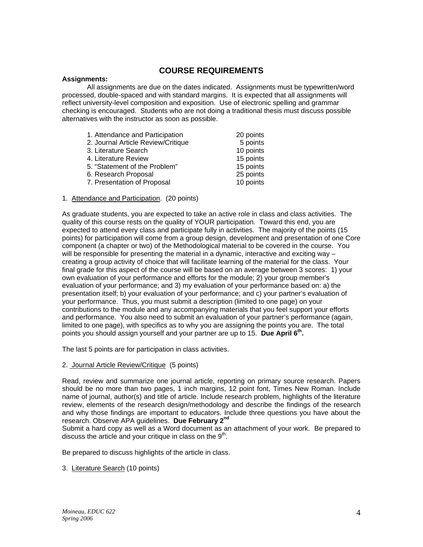### **COURSE REQUIREMENTS**

#### **Assignments:**

 All assignments are due on the dates indicated. Assignments must be typewritten/word processed, double-spaced and with standard margins. It is expected that all assignments will reflect university-level composition and exposition. Use of electronic spelling and grammar checking is encouraged. Students who are not doing a traditional thesis must discuss possible alternatives with the instructor as soon as possible.

| 1. Attendance and Participation    | 20 points |
|------------------------------------|-----------|
| 2. Journal Article Review/Critique | 5 points  |
| 3. Literature Search               | 10 points |
| 4. Literature Review               | 15 points |
| 5. "Statement of the Problem"      | 15 points |
| 6. Research Proposal               | 25 points |
| 7. Presentation of Proposal        | 10 points |

1. Attendance and Participation. (20 points)

As graduate students, you are expected to take an active role in class and class activities. The quality of this course rests on the quality of YOUR participation. Toward this end, you are expected to attend every class and participate fully in activities. The majority of the points (15 points) for participation will come from a group design, development and presentation of one Core component (a chapter or two) of the Methodological material to be covered in the course. You will be responsible for presenting the material in a dynamic, interactive and exciting way – creating a group activity of choice that will facilitate learning of the material for the class. Your final grade for this aspect of the course will be based on an average between 3 scores: 1) your own evaluation of your performance and efforts for the module; 2) your group member's evaluation of your performance; and 3) my evaluation of your performance based on: a) the presentation itself; b) your evaluation of your performance; and c) your partner's evaluation of your performance. Thus, you must submit a description (limited to one page) on your contributions to the module and any accompanying materials that you feel support your efforts and performance. You also need to submit an evaluation of your partner's performance (again, limited to one page), with specifics as to why you are assigning the points you are. The total points you should assign yourself and your partner are up to 15. **Due April 6th.** 

The last 5 points are for participation in class activities.

### 2. Journal Article Review/Critique (5 points)

Read, review and summarize one journal article, reporting on primary source research. Papers should be no more than two pages, 1 inch margins, 12 point font, Times New Roman. Include name of journal, author(s) and title of article. Include research problem, highlights of the literature review, elements of the research design/methodology and describe the findings of the research and why those findings are important to educators. Include three questions you have about the research. Observe APA guidelines. **Due February 2nd**

Submit a hard copy as well as a Word document as an attachment of your work. Be prepared to discuss the article and your critique in class on the  $9<sup>th</sup>$ .

Be prepared to discuss highlights of the article in class.

3. Literature Search (10 points)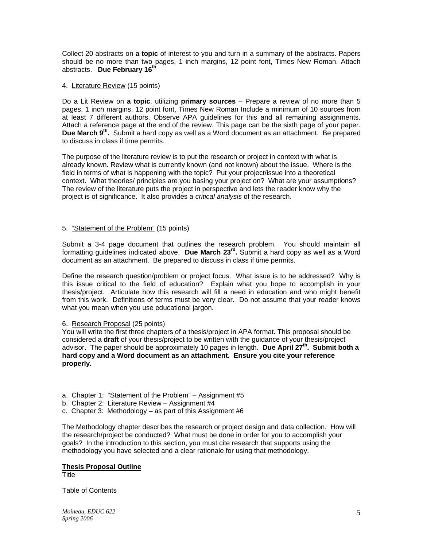Collect 20 abstracts on **a topic** of interest to you and turn in a summary of the abstracts. Papers should be no more than two pages, 1 inch margins, 12 point font, Times New Roman. Attach abstracts. **Due February 16th**

### 4. Literature Review (15 points)

Do a Lit Review on **a topic**, utilizing **primary sources** – Prepare a review of no more than 5 pages, 1 inch margins, 12 point font, Times New Roman Include a minimum of 10 sources from at least 7 different authors. Observe APA guidelines for this and all remaining assignments. Attach a reference page at the end of the review. This page can be the sixth page of your paper. **Due March 9th.** Submit a hard copy as well as a Word document as an attachment. Be prepared to discuss in class if time permits.

The purpose of the literature review is to put the research or project in context with what is already known. Review what is currently known (and not known) about the issue. Where is the field in terms of what is happening with the topic? Put your project/issue into a theoretical context. What theories/ principles are you basing your project on? What are your assumptions? The review of the literature puts the project in perspective and lets the reader know why the project is of significance. It also provides a *critical analysis* of the research.

### 5. "Statement of the Problem" (15 points)

Submit a 3-4 page document that outlines the research problem. You should maintain all formatting guidelines indicated above. **Due March 23rd.** Submit a hard copy as well as a Word document as an attachment. Be prepared to discuss in class if time permits.

Define the research question/problem or project focus. What issue is to be addressed? Why is this issue critical to the field of education? Explain what you hope to accomplish in your thesis/project. Articulate how this research will fill a need in education and who might benefit from this work. Definitions of terms must be very clear. Do not assume that your reader knows what you mean when you use educational jargon.

### 6. Research Proposal (25 points)

You will write the first three chapters of a thesis/project in APA format. This proposal should be considered a **draft** of your thesis/project to be written with the guidance of your thesis/project advisor. The paper should be approximately 10 pages in length. **Due April 27th. Submit both a hard copy and a Word document as an attachment. Ensure you cite your reference properly.** 

- a. Chapter 1: "Statement of the Problem" Assignment #5
- b. Chapter 2: Literature Review Assignment #4
- c. Chapter 3: Methodology  $-$  as part of this Assignment #6

The Methodology chapter describes the research or project design and data collection. How will the research/project be conducted? What must be done in order for you to accomplish your goals? In the introduction to this section, you must cite research that supports using the methodology you have selected and a clear rationale for using that methodology.

### **Thesis Proposal Outline**

**Title** 

Table of Contents

*Moineau, EDUC 622 Spring 2006*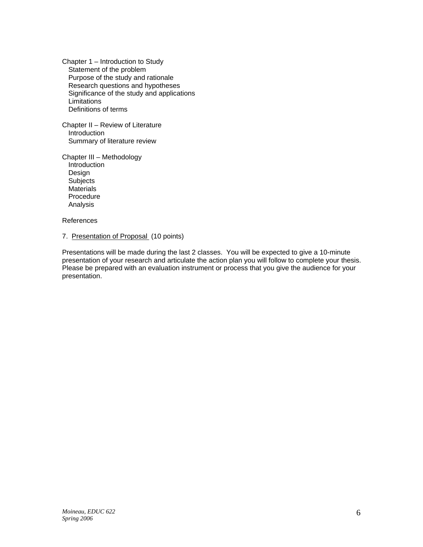Chapter 1 – Introduction to Study Statement of the problem Purpose of the study and rationale Research questions and hypotheses Significance of the study and applications **Limitations** Definitions of terms

Chapter II – Review of Literature Introduction Summary of literature review

Chapter III – Methodology Introduction Design **Subjects Materials**  Procedure Analysis

References

7. Presentation of Proposal (10 points)

Presentations will be made during the last 2 classes. You will be expected to give a 10-minute presentation of your research and articulate the action plan you will follow to complete your thesis. Please be prepared with an evaluation instrument or process that you give the audience for your presentation.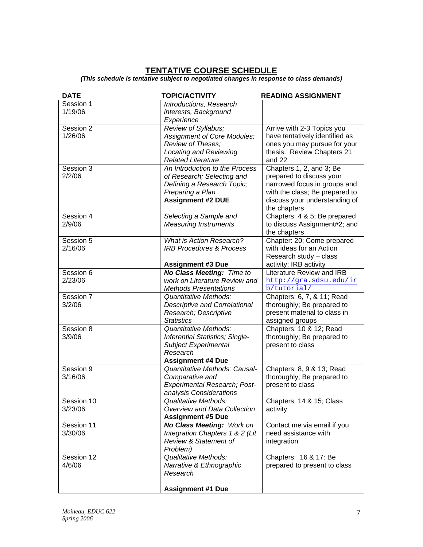## **TENTATIVE COURSE SCHEDULE**

*(This schedule is tentative subject to negotiated changes in response to class demands)* 

| <b>DATE</b>           | <b>TOPIC/ACTIVITY</b>                                                                                                                      | <b>READING ASSIGNMENT</b>                                                                                                                                               |
|-----------------------|--------------------------------------------------------------------------------------------------------------------------------------------|-------------------------------------------------------------------------------------------------------------------------------------------------------------------------|
| Session 1<br>1/19/06  | Introductions, Research<br>interests, Background<br>Experience                                                                             |                                                                                                                                                                         |
| Session 2<br>1/26/06  | Review of Syllabus;<br>Assignment of Core Modules;<br>Review of Theses;<br><b>Locating and Reviewing</b><br><b>Related Literature</b>      | Arrive with 2-3 Topics you<br>have tentatively identified as<br>ones you may pursue for your<br>thesis. Review Chapters 21<br>and 22                                    |
| Session 3<br>2/2/06   | An Introduction to the Process<br>of Research; Selecting and<br>Defining a Research Topic;<br>Preparing a Plan<br><b>Assignment #2 DUE</b> | Chapters 1, 2, and 3; Be<br>prepared to discuss your<br>narrowed focus in groups and<br>with the class; Be prepared to<br>discuss your understanding of<br>the chapters |
| Session 4<br>2/9/06   | Selecting a Sample and<br><b>Measuring Instruments</b>                                                                                     | Chapters: 4 & 5; Be prepared<br>to discuss Assignment#2; and<br>the chapters                                                                                            |
| Session 5<br>2/16/06  | <b>What is Action Research?</b><br><b>IRB Procedures &amp; Process</b>                                                                     | Chapter: 20; Come prepared<br>with ideas for an Action<br>Research study - class                                                                                        |
|                       | <b>Assignment #3 Due</b>                                                                                                                   | activity; IRB activity                                                                                                                                                  |
| Session 6<br>2/23/06  | No Class Meeting: Time to<br>work on Literature Review and<br><b>Methods Presentations</b>                                                 | Literature Review and IRB<br>http://gra.sdsu.edu/ir<br>b/tutorial/                                                                                                      |
| Session 7<br>3/2/06   | Quantitative Methods:<br><b>Descriptive and Correlational</b><br>Research; Descriptive<br><b>Statistics</b>                                | Chapters: 6, 7, & 11; Read<br>thoroughly; Be prepared to<br>present material to class in<br>assigned groups                                                             |
| Session 8<br>3/9/06   | <b>Quantitative Methods:</b><br>Inferential Statistics; Single-<br><b>Subject Experimental</b><br>Research<br><b>Assignment #4 Due</b>     | Chapters: 10 & 12; Read<br>thoroughly; Be prepared to<br>present to class                                                                                               |
| Session 9<br>3/16/06  | Quantitative Methods: Causal-<br>Comparative and<br><b>Experimental Research; Post-</b><br>analysis Considerations                         | Chapters: 8, 9 & 13; Read<br>thoroughly; Be prepared to<br>present to class                                                                                             |
| Session 10<br>3/23/06 | <b>Qualitative Methods:</b><br>Overview and Data Collection<br><b>Assignment #5 Due</b>                                                    | Chapters: 14 & 15; Class<br>activity                                                                                                                                    |
| Session 11<br>3/30/06 | <b>No Class Meeting: Work on</b><br>Integration Chapters 1 & 2 (Lit<br>Review & Statement of<br>Problem)                                   | Contact me via email if you<br>need assistance with<br>integration                                                                                                      |
| Session 12<br>4/6/06  | <b>Qualitative Methods:</b><br>Narrative & Ethnographic<br>Research<br><b>Assignment #1 Due</b>                                            | Chapters: 16 & 17: Be<br>prepared to present to class                                                                                                                   |
|                       |                                                                                                                                            |                                                                                                                                                                         |